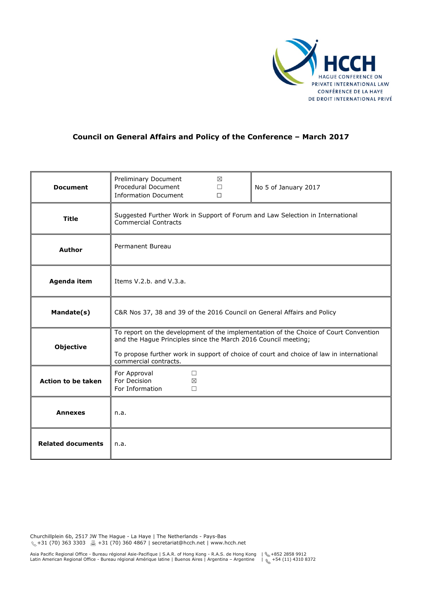

# **Council on General Affairs and Policy of the Conference – March 2017**

| <b>Document</b>           | Preliminary Document<br>Procedural Document<br><b>Information Document</b>                                                                                                                                                                                                  | ⊠<br>$\Box$<br>$\Box$ | No 5 of January 2017 |
|---------------------------|-----------------------------------------------------------------------------------------------------------------------------------------------------------------------------------------------------------------------------------------------------------------------------|-----------------------|----------------------|
| <b>Title</b>              | Suggested Further Work in Support of Forum and Law Selection in International<br><b>Commercial Contracts</b>                                                                                                                                                                |                       |                      |
| <b>Author</b>             | Permanent Bureau                                                                                                                                                                                                                                                            |                       |                      |
| Agenda item               | Items V.2.b. and V.3.a.                                                                                                                                                                                                                                                     |                       |                      |
| Mandate(s)                | C&R Nos 37, 38 and 39 of the 2016 Council on General Affairs and Policy                                                                                                                                                                                                     |                       |                      |
| <b>Objective</b>          | To report on the development of the implementation of the Choice of Court Convention<br>and the Hague Principles since the March 2016 Council meeting;<br>To propose further work in support of choice of court and choice of law in international<br>commercial contracts. |                       |                      |
| <b>Action to be taken</b> | For Approval<br>□<br>For Decision<br>$\boxtimes$<br>For Information<br>П                                                                                                                                                                                                    |                       |                      |
| <b>Annexes</b>            | n.a.                                                                                                                                                                                                                                                                        |                       |                      |
| <b>Related documents</b>  | n.a.                                                                                                                                                                                                                                                                        |                       |                      |

Churchillplein 6b, 2517 JW The Hague - La Haye | The Netherlands - Pays-Bas +31 (70) 363 3303 +31 (70) 360 4867 | secretariat@hcch.net | www.hcch.net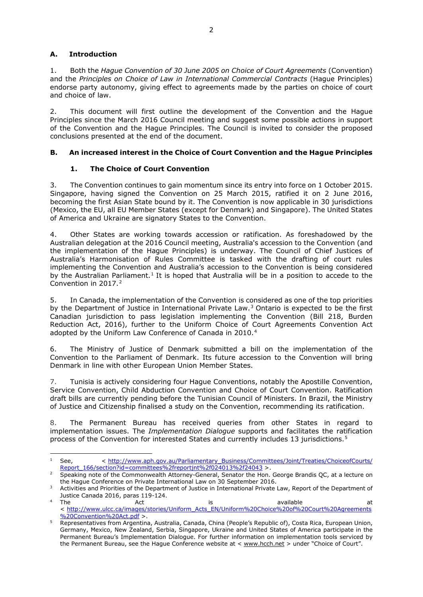## **A. Introduction**

1. Both the *Hague Convention of 30 June 2005 on Choice of Court Agreements* (Convention) and the *Principles on Choice of Law in International Commercial Contracts* (Hague Principles) endorse party autonomy, giving effect to agreements made by the parties on choice of court and choice of law.

2. This document will first outline the development of the Convention and the Hague Principles since the March 2016 Council meeting and suggest some possible actions in support of the Convention and the Hague Principles. The Council is invited to consider the proposed conclusions presented at the end of the document.

## **B. An increased interest in the Choice of Court Convention and the Hague Principles**

## **1. The Choice of Court Convention**

3. The Convention continues to gain momentum since its entry into force on 1 October 2015. Singapore, having signed the Convention on 25 March 2015, ratified it on 2 June 2016, becoming the first Asian State bound by it. The Convention is now applicable in 30 jurisdictions (Mexico, the EU, all EU Member States (except for Denmark) and Singapore). The United States of America and Ukraine are signatory States to the Convention.

4. Other States are working towards accession or ratification. As foreshadowed by the Australian delegation at the 2016 Council meeting, Australia's accession to the Convention (and the implementation of the Hague Principles) is underway. The Council of Chief Justices of Australia's Harmonisation of Rules Committee is tasked with the drafting of court rules implementing the Convention and Australia's accession to the Convention is being considered by the Australian Parliament.<sup>[1](#page-1-0)</sup> It is hoped that Australia will be in a position to accede to the Convention in [2](#page-1-1)017.<sup>2</sup>

5. In Canada, the implementation of the Convention is considered as one of the top priorities by the Department of Justice in International Private Law.<sup>[3](#page-1-2)</sup> Ontario is expected to be the first Canadian jurisdiction to pass legislation implementing the Convention (Bill 218, Burden Reduction Act, 2016), further to the Uniform Choice of Court Agreements Convention Act adopted by the Uniform Law Conference of Canada in 2010.<sup>[4](#page-1-3)</sup>

6. The Ministry of Justice of Denmark submitted a bill on the implementation of the Convention to the Parliament of Denmark. Its future accession to the Convention will bring Denmark in line with other European Union Member States.

7. Tunisia is actively considering four Hague Conventions, notably the Apostille Convention, Service Convention, Child Abduction Convention and Choice of Court Convention. Ratification draft bills are currently pending before the Tunisian Council of Ministers. In Brazil, the Ministry of Justice and Citizenship finalised a study on the Convention, recommending its ratification.

8. The Permanent Bureau has received queries from other States in regard to implementation issues. The *Implementation Dialogue* supports and facilitates the ratification process of the Convention for interested States and currently includes 13 jurisdictions.<sup>[5](#page-1-4)</sup>

<span id="page-1-0"></span>l <sup>1</sup> See, < [http://www.aph.gov.au/Parliamentary\\_Business/Committees/Joint/Treaties/ChoiceofCourts/](http://www.aph.gov.au/Parliamentary_Business/Committees/Joint/Treaties/ChoiceofCourts/Report_166/section?id=committees%2freportjnt%2f024013%2f24043) [Report\\_166/section?id=committees%2freportjnt%2f024013%2f24043](http://www.aph.gov.au/Parliamentary_Business/Committees/Joint/Treaties/ChoiceofCourts/Report_166/section?id=committees%2freportjnt%2f024013%2f24043) >.

<span id="page-1-1"></span><sup>2</sup> Speaking note of the Commonwealth Attorney-General, Senator the Hon. George Brandis QC, at a lecture on the Hague Conference on Private International Law on 30 September 2016.

<span id="page-1-2"></span><sup>&</sup>lt;sup>3</sup> Activities and Priorities of the Department of Justice in International Private Law, Report of the Department of Justice Canada 2016, paras 119-124.

<span id="page-1-3"></span><sup>&</sup>lt;sup>4</sup> The and Act is available at a total Act is a variable at a t < [http://www.ulcc.ca/images/stories/Uniform\\_Acts\\_EN/Uniform%20Choice%20of%20Court%20Agreements](http://www.ulcc.ca/images/stories/Uniform_Acts_EN/Uniform%20Choice%20of%20Court%20Agreements%20Convention%20Act.pdf) [%20Convention%20Act.pdf](http://www.ulcc.ca/images/stories/Uniform_Acts_EN/Uniform%20Choice%20of%20Court%20Agreements%20Convention%20Act.pdf) >.

<span id="page-1-4"></span><sup>5</sup> Representatives from Argentina, Australia, Canada, China (People's Republic of), Costa Rica, European Union, Germany, Mexico, New Zealand, Serbia, Singapore, Ukraine and United States of America participate in the Permanent Bureau's Implementation Dialogue. For further information on implementation tools serviced by the Permanent Bureau, see the Hague Conference website at < [www.hcch.net](http://www.hcch.net/) > under "Choice of Court".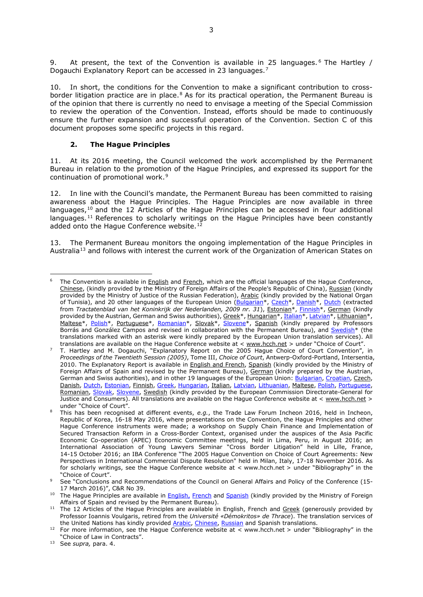9. At present, the text of the Convention is available in 25 languages.<sup>[6](#page-2-0)</sup> The Hartley / Dogauchi Explanatory Report can be accessed in 23 languages.<sup>[7](#page-2-1)</sup>

10. In short, the conditions for the Convention to make a significant contribution to cross-border litigation practice are in place.<sup>[8](#page-2-2)</sup> As for its practical operation, the Permanent Bureau is of the opinion that there is currently no need to envisage a meeting of the Special Commission to review the operation of the Convention. Instead, efforts should be made to continuously ensure the further expansion and successful operation of the Convention. Section C of this document proposes some specific projects in this regard.

#### **2. The Hague Principles**

11. At its 2016 meeting, the Council welcomed the work accomplished by the Permanent Bureau in relation to the promotion of the Hague Principles, and expressed its support for the continuation of promotional work.<sup>[9](#page-2-3)</sup>

12. In line with the Council's mandate, the Permanent Bureau has been committed to raising awareness about the Hague Principles. The Hague Principles are now available in three languages, $10$  and the 12 Articles of the Hague Principles can be accessed in four additional languages.<sup>[11](#page-2-5)</sup> References to scholarly writings on the Hague Principles have been constantly added onto the Hague Conference website.<sup>[12](#page-2-6)</sup>

13. The Permanent Bureau monitors the ongoing implementation of the Hague Principles in Australia<sup>[13](#page-2-7)</sup> and follows with interest the current work of the Organization of American States on

l

<span id="page-2-0"></span>The Convention is available in [English](https://www.hcch.net/en/instruments/conventions/full-text/?cid=98) and [French,](https://www.hcch.net/fr/instruments/conventions/full-text/?cid=98) which are the official languages of the Hague Conference, [Chinese,](https://assets.hcch.net/upload/text37cn.pdf) (kindly provided by the Ministry of Foreign Affairs of the People's Republic of China), [Russian](https://assets.hcch.net/upload/text37_ru.pdf) (kindly provided by the Ministry of Justice of the Russian Federation), [Arabic](https://assets.hcch.net/docs/26c2409e-bdb7-428a-8c86-c700dda22309.pdf) (kindly provided by the National Organ of Tunisia), and 20 other languages of the European Union [\(Bulgarian\\*](https://assets.hcch.net/upload/text37_bg.pdf), [Czech\\*](https://assets.hcch.net/upload/text37cz.pdf), [Danish\\*](https://assets.hcch.net/upload/text37_dk.pdf), [Dutch](https://assets.hcch.net/upload/text37nl.pdf) (extracted from *Tractatenblad van het Koninkrijk der Nederlanden, 2009 nr. 31*), [Estonian\\*](https://www.hcch.net/upload/text37_ee.pdf), [Finnish\\*](https://assets.hcch.net/upload/text37_fi.pdf), [German](https://www.hcch.net/de/instruments/conventions/full-text/?cid=98) (kindly provided by the Austrian, German and Swiss authorities)[, Greek\\*](https://www.hcch.net/upload/text37_gr.pdf)[, Hungarian\\*](https://www.hcch.net/upload/text37_hu.pdf), [Italian\\*](https://assets.hcch.net/upload/text37_it.pdf)[, Latvian\\*](https://assets.hcch.net/upload/text37_lv.pdf), [Lithuanian\\*](https://www.hcch.net/upload/text37_lt.pdf), [Maltese\\*](https://www.hcch.net/upload/text37_mt.pdf), [Polish\\*](https://assets.hcch.net/upload/text37_pl.pdf), [Portuguese\\*](https://www.hcch.net/pt/instruments/conventions/full-text/?cid=98), [Romanian\\*](https://assets.hcch.net/upload/text37_ro.pdf), [Slovak\\*](https://www.hcch.net/upload/text37_sk.pdf), [Slovene\\*](https://assets.hcch.net/upload/text37_si.pdf), [Spanish](https://www.hcch.net/es/instruments/conventions/full-text/?cid=98) (kindly prepared by Professors Borrás and González Campos and revised in collaboration with the Permanent Bureau), and Swedish<sup>\*</sup> (the translations marked with an asterisk were kindly prepared by the European Union translation services). All translations are available on the Hague Conference website at < [www.hcch.net](http://www.hcch.net/) > under "Choice of Court".

<span id="page-2-1"></span> $^7$  T. Hartley and M. Dogauchi, "Explanatory Report on the 2005 Hague Choice of Court Convention", in *Proceedings of the Twentieth Session (2005)*, Tome III, *Choice of Court*, Antwerp-Oxford-Portland, Intersentia, 2010. The Explanatory Report is available in **English and French**, [Spanish](https://assets.hcch.net/upload/expl37s.pdf) (kindly provided by the Ministry of Foreign Affairs of Spain and revised by the Permanent Bureau), [German](https://assets.hcch.net/upload/expl37d.pdf) (kindly prepared by the Austrian, German and Swiss authorities), and in other 19 languages of the European Union[: Bulgarian,](https://assets.hcch.net/docs/6cc299ec-4887-44d3-85e5-19705f7f62ae.pdf) [Croatian,](https://assets.hcch.net/docs/e1d80d5a-f320-40ff-892a-156a4b85a266.pdf) [Czech,](https://assets.hcch.net/docs/9d7c6cf9-6266-43dc-a9b9-c433503e9ff6.pdf) [Danish,](https://assets.hcch.net/docs/012e4cb5-bbec-46ca-971b-2285f8dc78fe.pdf) [Dutch,](https://assets.hcch.net/docs/abfff8e7-2351-49aa-aaf0-9d8885e271ec.pdf) [Estonian,](https://assets.hcch.net/docs/c0253c10-61fe-42eb-817a-af005536ac28.pdf) [Finnish,](https://assets.hcch.net/docs/42d60e47-ca69-4c4b-8b40-4d4f362933f0.pdf) [Greek,](https://assets.hcch.net/docs/d0f47ca5-0d63-4731-8bc1-3a81cc58435e.pdf) [Hungarian,](https://assets.hcch.net/docs/87e13d0b-3d21-4e5a-9685-329eb8e56880.pdf) [Italian,](https://assets.hcch.net/docs/131f1153-ef61-4016-8e60-845316a4b054.pdf) [Latvian,](https://assets.hcch.net/docs/e6a9588d-bee2-484d-a8d9-85633de947a4.pdf) [Lithuanian,](https://assets.hcch.net/docs/f1e7b9b8-f0ef-4b2f-92f3-63d5a7360bb0.pdf) [Maltese,](https://assets.hcch.net/docs/394b9bf7-e23d-46d1-9c83-c34eadac25d9.pdf) [Polish,](https://assets.hcch.net/docs/4c20f35d-8ee4-4c97-9040-309e8af56588.pdf) [Portuguese,](https://assets.hcch.net/docs/a90b5aea-89cf-4541-b7b7-e5e960703845.pdf) [Romanian,](https://assets.hcch.net/docs/8f70889c-b97c-42f8-9515-ce258c3903fb.pdf) [Slovak,](https://assets.hcch.net/docs/9726a3f8-d3b9-4efc-b4a9-6aa887e04436.pdf) [Slovene,](https://assets.hcch.net/docs/4587cf24-a07b-4027-924d-63f8dd73e5b4.pdf) [Swedish](https://assets.hcch.net/docs/1cffd86b-16d6-4e27-8482-bf39acc51d1e.pdf) (kindly provided by the European Commission Directorate-General for Justice and Consumers). All translations are available on the Hague Conference website at < [www.hcch.net](http://www.hcch.net/) > under "Choice of Court".

<span id="page-2-2"></span><sup>8</sup> This has been recognised at different events, *e.g.*, the Trade Law Forum Incheon 2016, held in Incheon, Republic of Korea, 16-18 May 2016, where presentations on the Convention, the Hague Principles and other Hague Conference instruments were made; a workshop on Supply Chain Finance and Implementation of Secured Transaction Reform in a Cross-Border Context, organised under the auspices of the Asia Pacific Economic Co-operation (APEC) Economic Committee meetings, held in Lima, Peru, in August 2016; an International Association of Young Lawyers Seminar "Cross Border Litigation" held in Lille, France, 14-15 October 2016; an IBA Conference "The 2005 Hague Convention on Choice of Court Agreements: New Perspectives in International Commercial Dispute Resolution" held in Milan, Italy, 17-18 November 2016. As for scholarly writings, see the Hague Conference website at < www.hcch.net > under "Bibliography" in the "Choice of Court".

<span id="page-2-3"></span><sup>9</sup> See "Conclusions and Recommendations of the Council on General Affairs and Policy of the Conference (15- 17 March 2016)", C&R No 39.

<span id="page-2-4"></span><sup>&</sup>lt;sup>10</sup> The Hague Principles are available in **English, [French](https://assets.hcch.net/docs/db74fd9d-502a-4f16-a563-973a89118074.pdf)** and **Spanish** (kindly provided by the Ministry of Foreign Affairs of Spain and revised by the Permanent Bureau).

<span id="page-2-5"></span><sup>&</sup>lt;sup>11</sup> The 12 Articles of the Hague Principles are available in English, French and [Greek](https://assets.hcch.net/docs/a4d50747-2460-488f-a291-19356ac457d1.pdf) (generously provided by Professor Ioannis Voulgaris, retired from the *Université «Démokritos» de Thrace*). The translation services of the United Nations has kindly provided [Arabic,](https://assets.hcch.net/docs/4679993d-5c7b-48d0-adc9-21095ff5c32f.pdf) [Chinese,](https://assets.hcch.net/docs/380e19e1-9991-4b86-844b-1175f496e939.pdf) [Russian](https://assets.hcch.net/docs/eb2202fd-47c9-4e73-ab0f-cbf2b4057d8f.pdf) and Spanish translations.

<span id="page-2-6"></span><sup>&</sup>lt;sup>12</sup> For more information, see the Hague Conference website at < www.hcch.net > under "Bibliography" in the "Choice of Law in Contracts".

<span id="page-2-7"></span><sup>13</sup> See *supra,* para. 4.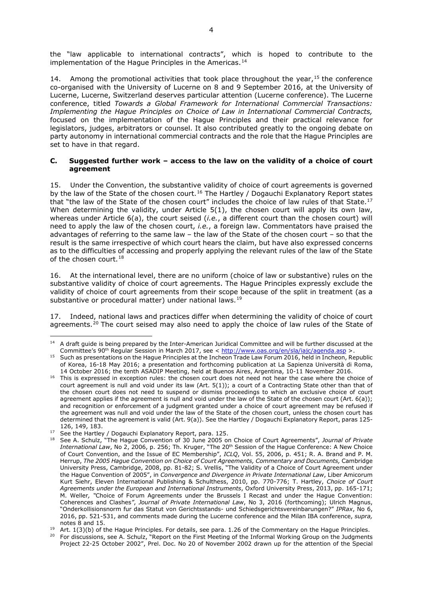the "law applicable to international contracts", which is hoped to contribute to the implementation of the Hague Principles in the Americas.<sup>[14](#page-3-0)</sup>

14. Among the promotional activities that took place throughout the year,  $15$  the conference co-organised with the University of Lucerne on 8 and 9 September 2016, at the University of Lucerne, Lucerne, Switzerland deserves particular attention (Lucerne conference). The Lucerne conference, titled *Towards a Global Framework for International Commercial Transactions: Implementing the Hague Principles on Choice of Law in International Commercial Contracts,* focused on the implementation of the Hague Principles and their practical relevance for legislators, judges, arbitrators or counsel. It also contributed greatly to the ongoing debate on party autonomy in international commercial contracts and the role that the Hague Principles are set to have in that regard.

#### **C. Suggested further work – access to the law on the validity of a choice of court agreement**

15. Under the Convention, the substantive validity of choice of court agreements is governed by the law of the State of the chosen court.<sup>[16](#page-3-2)</sup> The Hartley / Dogauchi Explanatory Report states that "the law of the State of the chosen court" includes the choice of law rules of that State.<sup>[17](#page-3-3)</sup> When determining the validity, under Article 5(1), the chosen court will apply its own law, whereas under Article 6(a), the court seised (*i.e.*, a different court than the chosen court) will need to apply the law of the chosen court, *i.e.*, a foreign law. Commentators have praised the advantages of referring to the same law – the law of the State of the chosen court – so that the result is the same irrespective of which court hears the claim, but have also expressed concerns as to the difficulties of accessing and properly applying the relevant rules of the law of the State of the chosen court.  $18$ 

16. At the international level, there are no uniform (choice of law or substantive) rules on the substantive validity of choice of court agreements. The Hague Principles expressly exclude the validity of choice of court agreements from their scope because of the split in treatment (as a substantive or procedural matter) under national laws.<sup>[19](#page-3-5)</sup>

17. Indeed, national laws and practices differ when determining the validity of choice of court agreements.<sup>[20](#page-3-6)</sup> The court seised may also need to apply the choice of law rules of the State of

 $\overline{\phantom{a}}$ 

<span id="page-3-0"></span><sup>&</sup>lt;sup>14</sup> A draft guide is being prepared by the Inter-American Juridical Committee and will be further discussed at the Committee's 90<sup>th</sup> Regular Session in March 2017, see < <http://www.oas.org/en/sla/iajc/agenda.asp> >.

<span id="page-3-1"></span><sup>&</sup>lt;sup>15</sup> Such as presentations on the Hague Principles at the Incheon Trade Law Forum 2016, held in Incheon, Republic of Korea, 16-18 May 2016; a presentation and forthcoming publication at La Sapienza Università di Roma, 14 October 2016; the tenth ASADIP Meeting, held at Buenos Aires, Argentina, 10-11 November 2016.

<span id="page-3-2"></span><sup>&</sup>lt;sup>16</sup> This is expressed in exception rules: the chosen court does not need not hear the case where the choice of court agreement is null and void under its law (Art. 5(1)); a court of a Contracting State other than that of the chosen court does not need to suspend or dismiss proceedings to which an exclusive choice of court agreement applies if the agreement is null and void under the law of the State of the chosen court (Art. 6(a)); and recognition or enforcement of a judgment granted under a choice of court agreement may be refused if the agreement was null and void under the law of the State of the chosen court, unless the chosen court has determined that the agreement is valid (Art. 9(a)). See the Hartley / Dogauchi Explanatory Report, paras 125- 126, 149, 183.

<span id="page-3-3"></span><sup>17</sup> See the Hartley / Dogauchi Explanatory Report, para. 125.

<span id="page-3-4"></span><sup>18</sup> See A. Schulz, "The Hague Convention of 30 June 2005 on Choice of Court Agreements", *Journal of Private International Law*, No 2, 2006, p. 256; Th. Kruger, "The 20th Session of the Hague Conference: A New Choice of Court Convention, and the Issue of EC Membership", *ICLQ*, Vol. 55, 2006, p. 451; R. A. Brand and P. M. Herrup, *The 2005 Hague Convention on Choice of Court Agreements, Commentary and Documents,* Cambridge University Press, Cambridge, 2008, pp. 81-82; S. Vrellis, "The Validity of a Choice of Court Agreement under the Hague Convention of 2005", in *Convergence and Divergence in Private International Law*, Liber Amicorum Kurt Siehr, Eleven International Publishing & Schulthess, 2010, pp. 770-776; T. Hartley, *Choice of Court Agreements under the European and International Instruments*, Oxford University Press, 2013, pp. 165-171; M. Weller*, "*Choice of Forum Agreements under the Brussels I Recast and under the Hague Convention: Coherences and Clashes*"*, *Journal of Private International Law*, No 3, 2016 (forthcoming); Ulrich Magnus, "Onderkollisionsnorm fur das Statut von Gerichtsstands- und Schiedsgerichtsvereinbarungen?" *IPRax*, No 6, 2016, pp. 521-531, and comments made during the Lucerne conference and the Milan IBA conference, *supra,* notes 8 and 15.

<span id="page-3-5"></span><sup>&</sup>lt;sup>19</sup> Art.  $1(3)(b)$  of the Hague Principles. For details, see para. 1.26 of the Commentary on the Hague Principles.

<span id="page-3-6"></span><sup>&</sup>lt;sup>20</sup> For discussions, see A. Schulz, "Report on the First Meeting of the Informal Working Group on the Judgments Project 22-25 October 2002", Prel. Doc. No 20 of November 2002 drawn up for the attention of the Special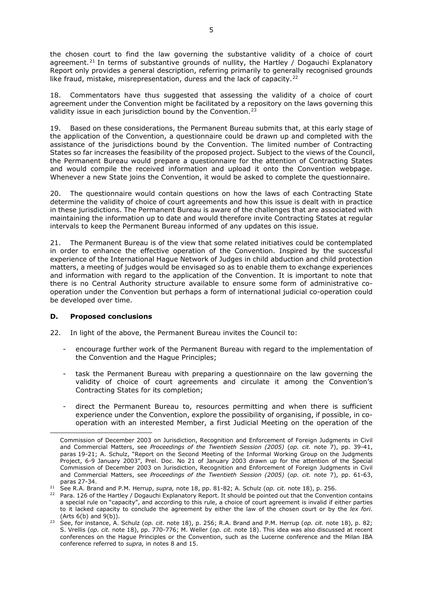the chosen court to find the law governing the substantive validity of a choice of court agreement.<sup>[21](#page-4-0)</sup> In terms of substantive grounds of nullity, the Hartley / Dogauchi Explanatory Report only provides a general description, referring primarily to generally recognised grounds like fraud, mistake, misrepresentation, duress and the lack of capacity.<sup>[22](#page-4-1)</sup>

18. Commentators have thus suggested that assessing the validity of a choice of court agreement under the Convention might be facilitated by a repository on the laws governing this validity issue in each jurisdiction bound by the Convention.<sup>[23](#page-4-2)</sup>

19. Based on these considerations, the Permanent Bureau submits that, at this early stage of the application of the Convention, a questionnaire could be drawn up and completed with the assistance of the jurisdictions bound by the Convention. The limited number of Contracting States so far increases the feasibility of the proposed project. Subject to the views of the Council, the Permanent Bureau would prepare a questionnaire for the attention of Contracting States and would compile the received information and upload it onto the Convention webpage. Whenever a new State joins the Convention, it would be asked to complete the questionnaire.

20. The questionnaire would contain questions on how the laws of each Contracting State determine the validity of choice of court agreements and how this issue is dealt with in practice in these jurisdictions. The Permanent Bureau is aware of the challenges that are associated with maintaining the information up to date and would therefore invite Contracting States at regular intervals to keep the Permanent Bureau informed of any updates on this issue.

21. The Permanent Bureau is of the view that some related initiatives could be contemplated in order to enhance the effective operation of the Convention. Inspired by the successful experience of the International Hague Network of Judges in child abduction and child protection matters, a meeting of judges would be envisaged so as to enable them to exchange experiences and information with regard to the application of the Convention. It is important to note that there is no Central Authority structure available to ensure some form of administrative cooperation under the Convention but perhaps a form of international judicial co-operation could be developed over time.

### **D. Proposed conclusions**

 $\overline{\phantom{a}}$ 

- 22. In light of the above, the Permanent Bureau invites the Council to:
	- encourage further work of the Permanent Bureau with regard to the implementation of the Convention and the Hague Principles;
	- task the Permanent Bureau with preparing a questionnaire on the law governing the validity of choice of court agreements and circulate it among the Convention's Contracting States for its completion;
	- direct the Permanent Bureau to, resources permitting and when there is sufficient experience under the Convention, explore the possibility of organising, if possible, in cooperation with an interested Member, a first Judicial Meeting on the operation of the

Commission of December 2003 on Jurisdiction, Recognition and Enforcement of Foreign Judgments in Civil and Commercial Matters, see *Proceedings of the Twentieth Session (2005)* (*op. cit.* note 7), pp. 39-41, paras 19-21; A. Schulz, "Report on the Second Meeting of the Informal Working Group on the Judgments Project, 6-9 January 2003", Prel. Doc. No 21 of January 2003 drawn up for the attention of the Special Commission of December 2003 on Jurisdiction, Recognition and Enforcement of Foreign Judgments in Civil and Commercial Matters, see *Proceedings of the Twentieth Session (2005)* (*op. cit.* note 7), pp. 61-63, paras 27-34.

<span id="page-4-0"></span><sup>21</sup> See R.A. Brand and P.M. Herrup, *supra,* note 18, pp. 81-82; A. Schulz (*op. cit.* note 18), p. 256.

<span id="page-4-1"></span><sup>&</sup>lt;sup>22</sup> Para. 126 of the Hartley / Dogauchi Explanatory Report. It should be pointed out that the Convention contains a special rule on "capacity", and according to this rule, a choice of court agreement is invalid if either parties to it lacked capacity to conclude the agreement by either the law of the chosen court or by the *lex fori*. (Arts 6(b) and 9(b)).

<span id="page-4-2"></span><sup>23</sup> See, for instance, A. Schulz (*op. cit.* note 18), p. 256; R.A. Brand and P.M. Herrup (*op. cit.* note 18), p. 82; S. Vrellis (*op. cit.* note 18), pp. 770-776; M. Weller (*op. cit.* note 18). This idea was also discussed at recent conferences on the Hague Principles or the Convention, such as the Lucerne conference and the Milan IBA conference referred to *supra,* in notes 8 and 15.